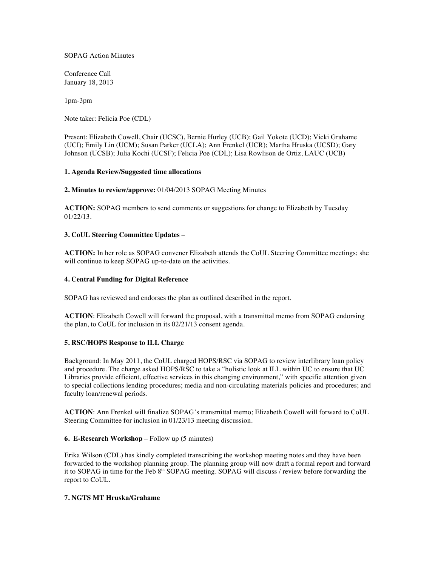SOPAG Action Minutes

Conference Call January 18, 2013

1pm-3pm

Note taker: Felicia Poe (CDL)

Present: Elizabeth Cowell, Chair (UCSC), Bernie Hurley (UCB); Gail Yokote (UCD); Vicki Grahame (UCI); Emily Lin (UCM); Susan Parker (UCLA); Ann Frenkel (UCR); Martha Hruska (UCSD); Gary Johnson (UCSB); Julia Kochi (UCSF); Felicia Poe (CDL); Lisa Rowlison de Ortiz, LAUC (UCB)

## **1. Agenda Review/Suggested time allocations**

## **2. Minutes to review/approve:** 01/04/2013 SOPAG Meeting Minutes

**ACTION:** SOPAG members to send comments or suggestions for change to Elizabeth by Tuesday 01/22/13.

## **3. CoUL Steering Committee Updates** –

**ACTION:** In her role as SOPAG convener Elizabeth attends the CoUL Steering Committee meetings; she will continue to keep SOPAG up-to-date on the activities.

### **4. Central Funding for Digital Reference**

SOPAG has reviewed and endorses the plan as outlined described in the report.

**ACTION**: Elizabeth Cowell will forward the proposal, with a transmittal memo from SOPAG endorsing the plan, to CoUL for inclusion in its 02/21/13 consent agenda.

# **5. RSC/HOPS Response to ILL Charge**

Background: In May 2011, the CoUL charged HOPS/RSC via SOPAG to review interlibrary loan policy and procedure. The charge asked HOPS/RSC to take a "holistic look at ILL within UC to ensure that UC Libraries provide efficient, effective services in this changing environment," with specific attention given to special collections lending procedures; media and non-circulating materials policies and procedures; and faculty loan/renewal periods.

**ACTION**: Ann Frenkel will finalize SOPAG's transmittal memo; Elizabeth Cowell will forward to CoUL Steering Committee for inclusion in 01/23/13 meeting discussion.

#### **6. E-Research Workshop** – Follow up (5 minutes)

Erika Wilson (CDL) has kindly completed transcribing the workshop meeting notes and they have been forwarded to the workshop planning group. The planning group will now draft a formal report and forward it to SOPAG in time for the Feb 8<sup>th</sup> SOPAG meeting. SOPAG will discuss / review before forwarding the report to CoUL.

# **7. NGTS MT Hruska/Grahame**